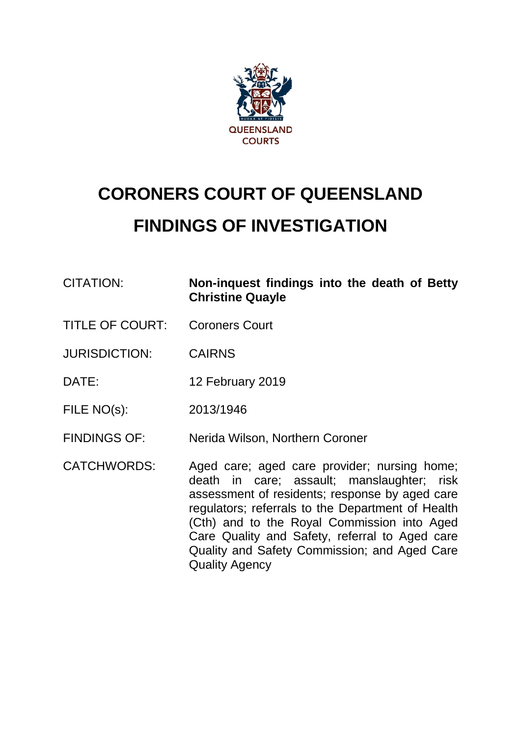

# **CORONERS COURT OF QUEENSLAND FINDINGS OF INVESTIGATION**

| CITATION: | Non-inquest findings into the death of Betty |
|-----------|----------------------------------------------|
|           | <b>Christine Quayle</b>                      |

- TITLE OF COURT: Coroners Court
- JURISDICTION: CAIRNS
- DATE: 12 February 2019
- FILE NO(s): 2013/1946
- FINDINGS OF: Nerida Wilson, Northern Coroner
- CATCHWORDS: Aged care; aged care provider; nursing home; death in care; assault; manslaughter; risk assessment of residents; response by aged care regulators; referrals to the Department of Health (Cth) and to the Royal Commission into Aged Care Quality and Safety, referral to Aged care Quality and Safety Commission; and Aged Care Quality Agency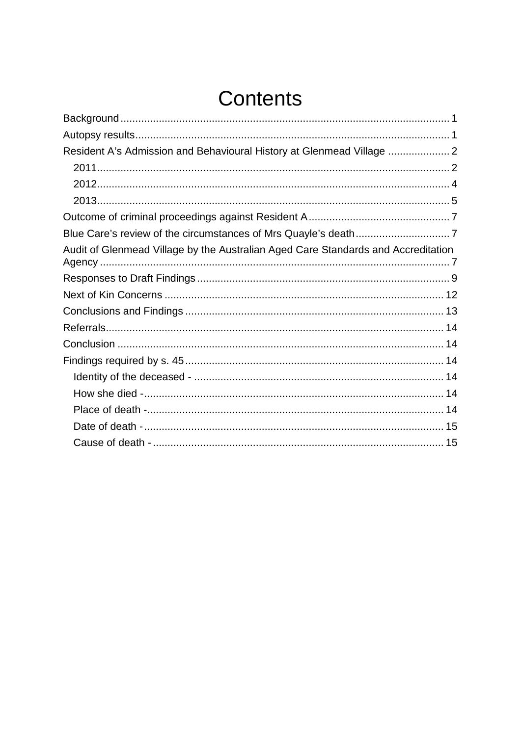# **Contents**

| Resident A's Admission and Behavioural History at Glenmead Village  2             |  |
|-----------------------------------------------------------------------------------|--|
|                                                                                   |  |
|                                                                                   |  |
|                                                                                   |  |
|                                                                                   |  |
|                                                                                   |  |
| Audit of Glenmead Village by the Australian Aged Care Standards and Accreditation |  |
|                                                                                   |  |
|                                                                                   |  |
|                                                                                   |  |
|                                                                                   |  |
|                                                                                   |  |
|                                                                                   |  |
|                                                                                   |  |
|                                                                                   |  |
|                                                                                   |  |
|                                                                                   |  |
|                                                                                   |  |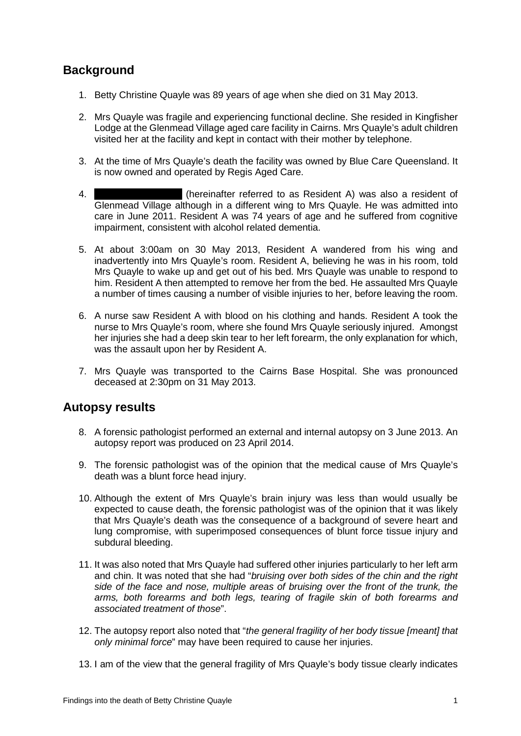#### <span id="page-2-0"></span>**Background**

- 1. Betty Christine Quayle was 89 years of age when she died on 31 May 2013.
- 2. Mrs Quayle was fragile and experiencing functional decline. She resided in Kingfisher Lodge at the Glenmead Village aged care facility in Cairns. Mrs Quayle's adult children visited her at the facility and kept in contact with their mother by telephone.
- 3. At the time of Mrs Quayle's death the facility was owned by Blue Care Queensland. It is now owned and operated by Regis Aged Care.
- 4. Archreinafter referred to as Resident A) was also a resident of Glenmead Village although in a different wing to Mrs Quayle. He was admitted into care in June 2011. Resident A was 74 years of age and he suffered from cognitive impairment, consistent with alcohol related dementia.
- 5. At about 3:00am on 30 May 2013, Resident A wandered from his wing and inadvertently into Mrs Quayle's room. Resident A, believing he was in his room, told Mrs Quayle to wake up and get out of his bed. Mrs Quayle was unable to respond to him. Resident A then attempted to remove her from the bed. He assaulted Mrs Quayle a number of times causing a number of visible injuries to her, before leaving the room.
- 6. A nurse saw Resident A with blood on his clothing and hands. Resident A took the nurse to Mrs Quayle's room, where she found Mrs Quayle seriously injured. Amongst her injuries she had a deep skin tear to her left forearm, the only explanation for which, was the assault upon her by Resident A.
- 7. Mrs Quayle was transported to the Cairns Base Hospital. She was pronounced deceased at 2:30pm on 31 May 2013.

# <span id="page-2-1"></span>**Autopsy results**

- 8. A forensic pathologist performed an external and internal autopsy on 3 June 2013. An autopsy report was produced on 23 April 2014.
- 9. The forensic pathologist was of the opinion that the medical cause of Mrs Quayle's death was a blunt force head injury.
- 10. Although the extent of Mrs Quayle's brain injury was less than would usually be expected to cause death, the forensic pathologist was of the opinion that it was likely that Mrs Quayle's death was the consequence of a background of severe heart and lung compromise, with superimposed consequences of blunt force tissue injury and subdural bleeding.
- 11. It was also noted that Mrs Quayle had suffered other injuries particularly to her left arm and chin. It was noted that she had "*bruising over both sides of the chin and the right side of the face and nose, multiple areas of bruising over the front of the trunk, the arms, both forearms and both legs, tearing of fragile skin of both forearms and associated treatment of those*".
- 12. The autopsy report also noted that "*the general fragility of her body tissue [meant] that only minimal force*" may have been required to cause her injuries.
- 13. I am of the view that the general fragility of Mrs Quayle's body tissue clearly indicates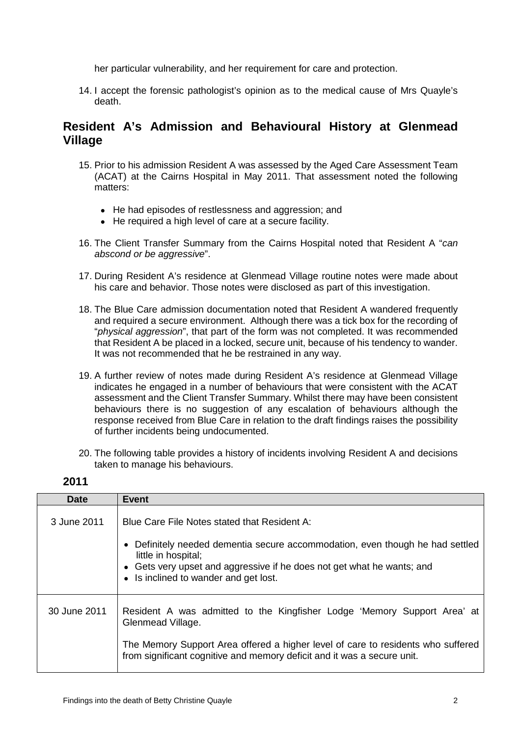her particular vulnerability, and her requirement for care and protection.

14. I accept the forensic pathologist's opinion as to the medical cause of Mrs Quayle's death.

#### <span id="page-3-0"></span>**Resident A's Admission and Behavioural History at Glenmead Village**

- 15. Prior to his admission Resident A was assessed by the Aged Care Assessment Team (ACAT) at the Cairns Hospital in May 2011. That assessment noted the following matters:
	- He had episodes of restlessness and aggression; and
	- He required a high level of care at a secure facility.
- 16. The Client Transfer Summary from the Cairns Hospital noted that Resident A "*can abscond or be aggressive*".
- 17. During Resident A's residence at Glenmead Village routine notes were made about his care and behavior. Those notes were disclosed as part of this investigation.
- 18. The Blue Care admission documentation noted that Resident A wandered frequently and required a secure environment. Although there was a tick box for the recording of "*physical aggression*", that part of the form was not completed. It was recommended that Resident A be placed in a locked, secure unit, because of his tendency to wander. It was not recommended that he be restrained in any way.
- 19. A further review of notes made during Resident A's residence at Glenmead Village indicates he engaged in a number of behaviours that were consistent with the ACAT assessment and the Client Transfer Summary. Whilst there may have been consistent behaviours there is no suggestion of any escalation of behaviours although the response received from Blue Care in relation to the draft findings raises the possibility of further incidents being undocumented.
- 20. The following table provides a history of incidents involving Resident A and decisions taken to manage his behaviours.

| Date         | <b>Event</b>                                                                                                                                                                                                                                                          |
|--------------|-----------------------------------------------------------------------------------------------------------------------------------------------------------------------------------------------------------------------------------------------------------------------|
| 3 June 2011  | Blue Care File Notes stated that Resident A:<br>Definitely needed dementia secure accommodation, even though he had settled<br>little in hospital;<br>• Gets very upset and aggressive if he does not get what he wants; and<br>• Is inclined to wander and get lost. |
| 30 June 2011 | Resident A was admitted to the Kingfisher Lodge 'Memory Support Area' at<br>Glenmead Village.<br>The Memory Support Area offered a higher level of care to residents who suffered<br>from significant cognitive and memory deficit and it was a secure unit.          |

#### <span id="page-3-1"></span>**2011**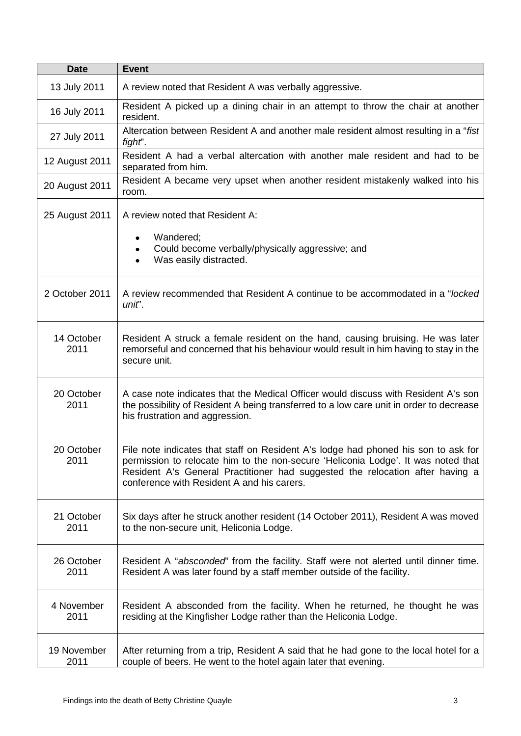| <b>Date</b>         | <b>Event</b>                                                                                                                                                                                                                                                                                           |
|---------------------|--------------------------------------------------------------------------------------------------------------------------------------------------------------------------------------------------------------------------------------------------------------------------------------------------------|
| 13 July 2011        | A review noted that Resident A was verbally aggressive.                                                                                                                                                                                                                                                |
| 16 July 2011        | Resident A picked up a dining chair in an attempt to throw the chair at another<br>resident.                                                                                                                                                                                                           |
| 27 July 2011        | Altercation between Resident A and another male resident almost resulting in a "fist<br>fight".                                                                                                                                                                                                        |
| 12 August 2011      | Resident A had a verbal altercation with another male resident and had to be<br>separated from him.                                                                                                                                                                                                    |
| 20 August 2011      | Resident A became very upset when another resident mistakenly walked into his<br>room.                                                                                                                                                                                                                 |
| 25 August 2011      | A review noted that Resident A:<br>Wandered;<br>Could become verbally/physically aggressive; and<br>$\bullet$<br>Was easily distracted.                                                                                                                                                                |
| 2 October 2011      | A review recommended that Resident A continue to be accommodated in a "locked"<br>unit'.                                                                                                                                                                                                               |
| 14 October<br>2011  | Resident A struck a female resident on the hand, causing bruising. He was later<br>remorseful and concerned that his behaviour would result in him having to stay in the<br>secure unit.                                                                                                               |
| 20 October<br>2011  | A case note indicates that the Medical Officer would discuss with Resident A's son<br>the possibility of Resident A being transferred to a low care unit in order to decrease<br>his frustration and aggression.                                                                                       |
| 20 October<br>2011  | File note indicates that staff on Resident A's lodge had phoned his son to ask for<br>permission to relocate him to the non-secure 'Heliconia Lodge'. It was noted that<br>Resident A's General Practitioner had suggested the relocation after having a<br>conference with Resident A and his carers. |
| 21 October<br>2011  | Six days after he struck another resident (14 October 2011), Resident A was moved<br>to the non-secure unit, Heliconia Lodge.                                                                                                                                                                          |
| 26 October<br>2011  | Resident A "absconded" from the facility. Staff were not alerted until dinner time.<br>Resident A was later found by a staff member outside of the facility.                                                                                                                                           |
| 4 November<br>2011  | Resident A absconded from the facility. When he returned, he thought he was<br>residing at the Kingfisher Lodge rather than the Heliconia Lodge.                                                                                                                                                       |
| 19 November<br>2011 | After returning from a trip, Resident A said that he had gone to the local hotel for a<br>couple of beers. He went to the hotel again later that evening.                                                                                                                                              |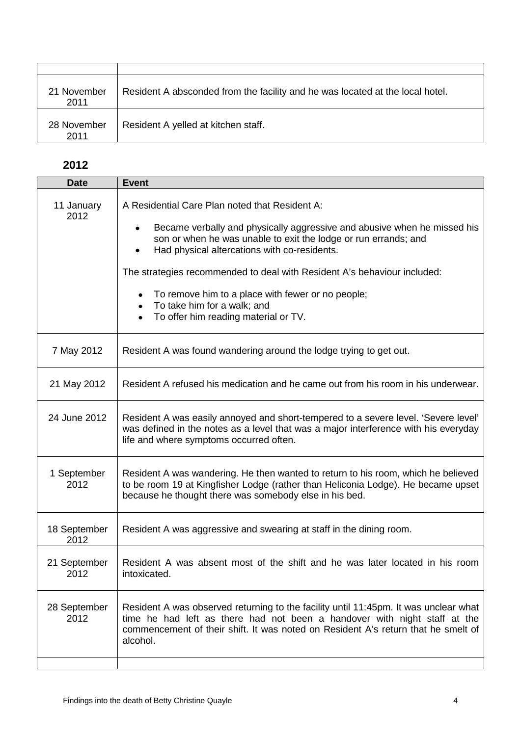| 21 November<br>2011 | Resident A absconded from the facility and he was located at the local hotel. |
|---------------------|-------------------------------------------------------------------------------|
| 28 November<br>2011 | Resident A yelled at kitchen staff.                                           |

#### <span id="page-5-0"></span>**2012**

| <b>Date</b>          | <b>Event</b>                                                                                                                                                                                                                                                       |
|----------------------|--------------------------------------------------------------------------------------------------------------------------------------------------------------------------------------------------------------------------------------------------------------------|
| 11 January<br>2012   | A Residential Care Plan noted that Resident A:<br>Became verbally and physically aggressive and abusive when he missed his<br>son or when he was unable to exit the lodge or run errands; and<br>Had physical altercations with co-residents.                      |
|                      | The strategies recommended to deal with Resident A's behaviour included:<br>To remove him to a place with fewer or no people;<br>$\bullet$<br>• To take him for a walk; and<br>To offer him reading material or TV.                                                |
| 7 May 2012           | Resident A was found wandering around the lodge trying to get out.                                                                                                                                                                                                 |
| 21 May 2012          | Resident A refused his medication and he came out from his room in his underwear.                                                                                                                                                                                  |
| 24 June 2012         | Resident A was easily annoyed and short-tempered to a severe level. 'Severe level'<br>was defined in the notes as a level that was a major interference with his everyday<br>life and where symptoms occurred often.                                               |
| 1 September<br>2012  | Resident A was wandering. He then wanted to return to his room, which he believed<br>to be room 19 at Kingfisher Lodge (rather than Heliconia Lodge). He became upset<br>because he thought there was somebody else in his bed.                                    |
| 18 September<br>2012 | Resident A was aggressive and swearing at staff in the dining room.                                                                                                                                                                                                |
| 21 September<br>2012 | Resident A was absent most of the shift and he was later located in his room<br>intoxicated.                                                                                                                                                                       |
| 28 September<br>2012 | Resident A was observed returning to the facility until 11:45pm. It was unclear what<br>time he had left as there had not been a handover with night staff at the<br>commencement of their shift. It was noted on Resident A's return that he smelt of<br>alcohol. |
|                      |                                                                                                                                                                                                                                                                    |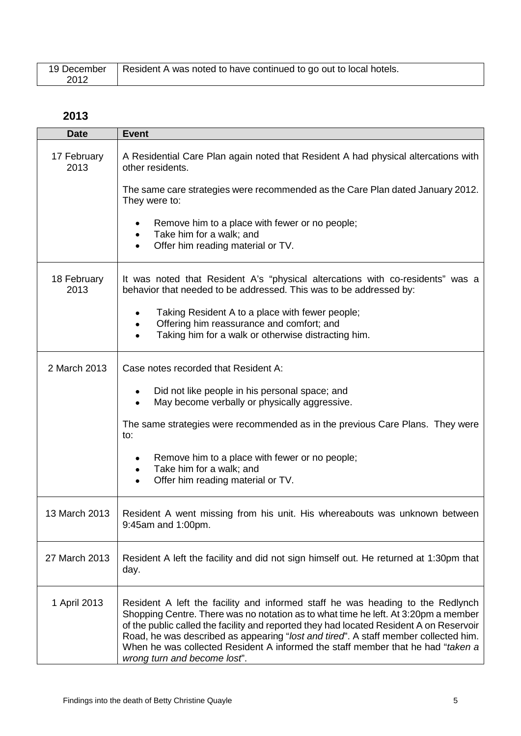|      | 19 December   Resident A was noted to have continued to go out to local hotels. |
|------|---------------------------------------------------------------------------------|
| 2012 |                                                                                 |

#### <span id="page-6-0"></span>**2013**

| <b>Date</b>         | <b>Event</b>                                                                                                                                                                                                                                                                                                                                                                                                                                                              |
|---------------------|---------------------------------------------------------------------------------------------------------------------------------------------------------------------------------------------------------------------------------------------------------------------------------------------------------------------------------------------------------------------------------------------------------------------------------------------------------------------------|
| 17 February<br>2013 | A Residential Care Plan again noted that Resident A had physical altercations with<br>other residents.                                                                                                                                                                                                                                                                                                                                                                    |
|                     | The same care strategies were recommended as the Care Plan dated January 2012.<br>They were to:                                                                                                                                                                                                                                                                                                                                                                           |
|                     | Remove him to a place with fewer or no people;<br>Take him for a walk; and<br>Offer him reading material or TV.                                                                                                                                                                                                                                                                                                                                                           |
| 18 February<br>2013 | It was noted that Resident A's "physical altercations with co-residents" was a<br>behavior that needed to be addressed. This was to be addressed by:                                                                                                                                                                                                                                                                                                                      |
|                     | Taking Resident A to a place with fewer people;                                                                                                                                                                                                                                                                                                                                                                                                                           |
|                     | Offering him reassurance and comfort; and<br>$\bullet$<br>Taking him for a walk or otherwise distracting him.                                                                                                                                                                                                                                                                                                                                                             |
| 2 March 2013        | Case notes recorded that Resident A:                                                                                                                                                                                                                                                                                                                                                                                                                                      |
|                     | Did not like people in his personal space; and<br>May become verbally or physically aggressive.                                                                                                                                                                                                                                                                                                                                                                           |
|                     | The same strategies were recommended as in the previous Care Plans. They were<br>to:                                                                                                                                                                                                                                                                                                                                                                                      |
|                     | Remove him to a place with fewer or no people;                                                                                                                                                                                                                                                                                                                                                                                                                            |
|                     | Take him for a walk; and<br>$\bullet$<br>Offer him reading material or TV.                                                                                                                                                                                                                                                                                                                                                                                                |
| 13 March 2013       | Resident A went missing from his unit. His whereabouts was unknown between<br>9:45am and 1:00pm.                                                                                                                                                                                                                                                                                                                                                                          |
| 27 March 2013       | Resident A left the facility and did not sign himself out. He returned at 1:30pm that<br>day.                                                                                                                                                                                                                                                                                                                                                                             |
| 1 April 2013        | Resident A left the facility and informed staff he was heading to the Redlynch<br>Shopping Centre. There was no notation as to what time he left. At 3:20pm a member<br>of the public called the facility and reported they had located Resident A on Reservoir<br>Road, he was described as appearing "lost and tired". A staff member collected him.<br>When he was collected Resident A informed the staff member that he had "taken a<br>wrong turn and become lost". |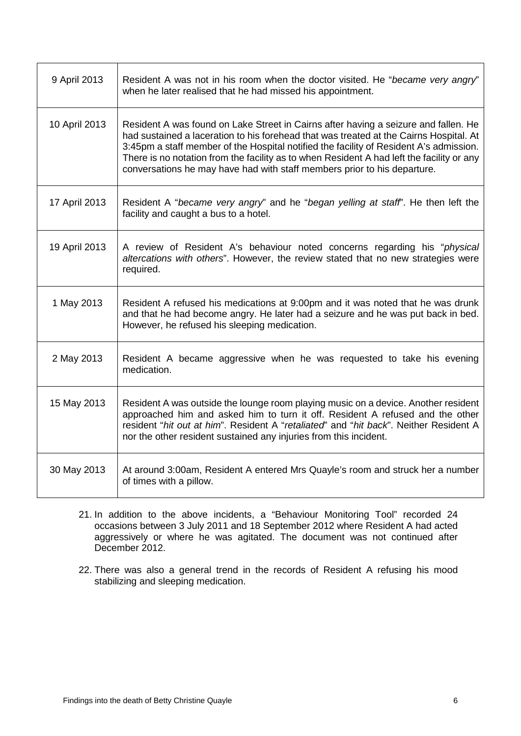| 9 April 2013  | Resident A was not in his room when the doctor visited. He "became very angry"<br>when he later realised that he had missed his appointment.                                                                                                                                                                                                                                                                                                     |
|---------------|--------------------------------------------------------------------------------------------------------------------------------------------------------------------------------------------------------------------------------------------------------------------------------------------------------------------------------------------------------------------------------------------------------------------------------------------------|
| 10 April 2013 | Resident A was found on Lake Street in Cairns after having a seizure and fallen. He<br>had sustained a laceration to his forehead that was treated at the Cairns Hospital. At<br>3:45pm a staff member of the Hospital notified the facility of Resident A's admission.<br>There is no notation from the facility as to when Resident A had left the facility or any<br>conversations he may have had with staff members prior to his departure. |
| 17 April 2013 | Resident A "became very angry" and he "began yelling at staff". He then left the<br>facility and caught a bus to a hotel.                                                                                                                                                                                                                                                                                                                        |
| 19 April 2013 | A review of Resident A's behaviour noted concerns regarding his " <i>physical</i><br>altercations with others". However, the review stated that no new strategies were<br>required.                                                                                                                                                                                                                                                              |
| 1 May 2013    | Resident A refused his medications at 9:00pm and it was noted that he was drunk<br>and that he had become angry. He later had a seizure and he was put back in bed.<br>However, he refused his sleeping medication.                                                                                                                                                                                                                              |
| 2 May 2013    | Resident A became aggressive when he was requested to take his evening<br>medication.                                                                                                                                                                                                                                                                                                                                                            |
| 15 May 2013   | Resident A was outside the lounge room playing music on a device. Another resident<br>approached him and asked him to turn it off. Resident A refused and the other<br>resident "hit out at him". Resident A "retaliated" and "hit back". Neither Resident A<br>nor the other resident sustained any injuries from this incident.                                                                                                                |
| 30 May 2013   | At around 3:00am, Resident A entered Mrs Quayle's room and struck her a number<br>of times with a pillow.                                                                                                                                                                                                                                                                                                                                        |

- 21. In addition to the above incidents, a "Behaviour Monitoring Tool" recorded 24 occasions between 3 July 2011 and 18 September 2012 where Resident A had acted aggressively or where he was agitated. The document was not continued after December 2012.
- 22. There was also a general trend in the records of Resident A refusing his mood stabilizing and sleeping medication.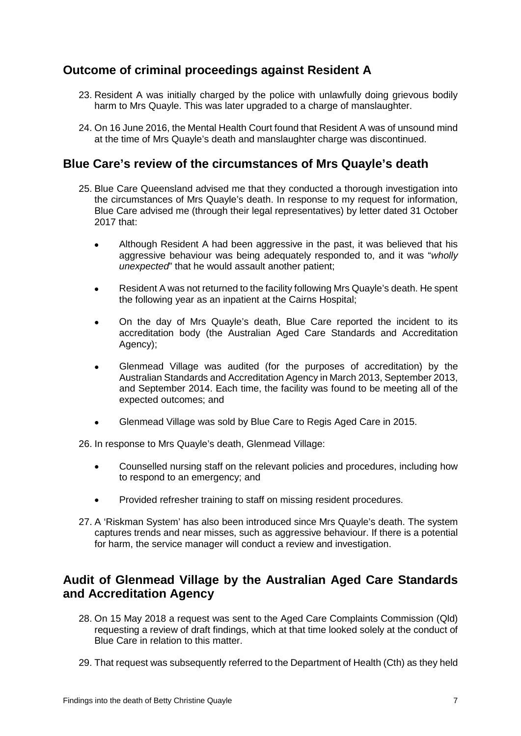# <span id="page-8-0"></span>**Outcome of criminal proceedings against Resident A**

- 23. Resident A was initially charged by the police with unlawfully doing grievous bodily harm to Mrs Quayle. This was later upgraded to a charge of manslaughter.
- 24. On 16 June 2016, the Mental Health Court found that Resident A was of unsound mind at the time of Mrs Quayle's death and manslaughter charge was discontinued.

#### <span id="page-8-1"></span>**Blue Care's review of the circumstances of Mrs Quayle's death**

- 25. Blue Care Queensland advised me that they conducted a thorough investigation into the circumstances of Mrs Quayle's death. In response to my request for information, Blue Care advised me (through their legal representatives) by letter dated 31 October 2017 that:
	- Although Resident A had been aggressive in the past, it was believed that his aggressive behaviour was being adequately responded to, and it was "*wholly unexpected*" that he would assault another patient;
	- Resident A was not returned to the facility following Mrs Quayle's death. He spent the following year as an inpatient at the Cairns Hospital;
	- On the day of Mrs Quayle's death, Blue Care reported the incident to its accreditation body (the Australian Aged Care Standards and Accreditation Agency);
	- Glenmead Village was audited (for the purposes of accreditation) by the Australian Standards and Accreditation Agency in March 2013, September 2013, and September 2014. Each time, the facility was found to be meeting all of the expected outcomes; and
	- Glenmead Village was sold by Blue Care to Regis Aged Care in 2015.

26. In response to Mrs Quayle's death, Glenmead Village:

- Counselled nursing staff on the relevant policies and procedures, including how to respond to an emergency; and
- Provided refresher training to staff on missing resident procedures.
- 27. A 'Riskman System' has also been introduced since Mrs Quayle's death. The system captures trends and near misses, such as aggressive behaviour. If there is a potential for harm, the service manager will conduct a review and investigation.

# <span id="page-8-2"></span>**Audit of Glenmead Village by the Australian Aged Care Standards and Accreditation Agency**

- 28. On 15 May 2018 a request was sent to the Aged Care Complaints Commission (Qld) requesting a review of draft findings, which at that time looked solely at the conduct of Blue Care in relation to this matter.
- 29. That request was subsequently referred to the Department of Health (Cth) as they held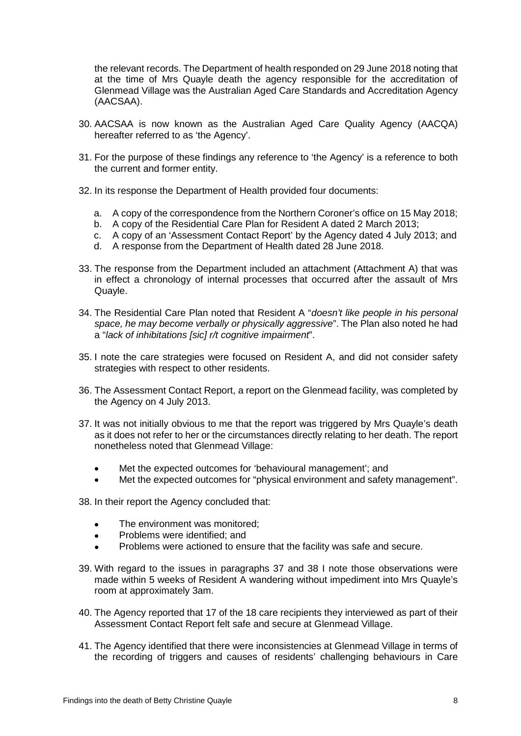the relevant records. The Department of health responded on 29 June 2018 noting that at the time of Mrs Quayle death the agency responsible for the accreditation of Glenmead Village was the Australian Aged Care Standards and Accreditation Agency (AACSAA).

- 30. AACSAA is now known as the Australian Aged Care Quality Agency (AACQA) hereafter referred to as 'the Agency'.
- 31. For the purpose of these findings any reference to 'the Agency' is a reference to both the current and former entity.
- 32. In its response the Department of Health provided four documents:
	- a. A copy of the correspondence from the Northern Coroner's office on 15 May 2018;
	- b. A copy of the Residential Care Plan for Resident A dated 2 March 2013;
	- c. A copy of an 'Assessment Contact Report' by the Agency dated 4 July 2013; and
	- d. A response from the Department of Health dated 28 June 2018.
- 33. The response from the Department included an attachment (Attachment A) that was in effect a chronology of internal processes that occurred after the assault of Mrs Quayle.
- 34. The Residential Care Plan noted that Resident A "*doesn't like people in his personal space, he may become verbally or physically aggressive*". The Plan also noted he had a "*lack of inhibitations [sic] r/t cognitive impairment*".
- 35. I note the care strategies were focused on Resident A, and did not consider safety strategies with respect to other residents.
- 36. The Assessment Contact Report, a report on the Glenmead facility, was completed by the Agency on 4 July 2013.
- 37. It was not initially obvious to me that the report was triggered by Mrs Quayle's death as it does not refer to her or the circumstances directly relating to her death. The report nonetheless noted that Glenmead Village:
	- Met the expected outcomes for 'behavioural management'; and
	- Met the expected outcomes for "physical environment and safety management".
- 38. In their report the Agency concluded that:
	- The environment was monitored;
	- Problems were identified; and
	- Problems were actioned to ensure that the facility was safe and secure.
- 39. With regard to the issues in paragraphs 37 and 38 I note those observations were made within 5 weeks of Resident A wandering without impediment into Mrs Quayle's room at approximately 3am.
- 40. The Agency reported that 17 of the 18 care recipients they interviewed as part of their Assessment Contact Report felt safe and secure at Glenmead Village.
- 41. The Agency identified that there were inconsistencies at Glenmead Village in terms of the recording of triggers and causes of residents' challenging behaviours in Care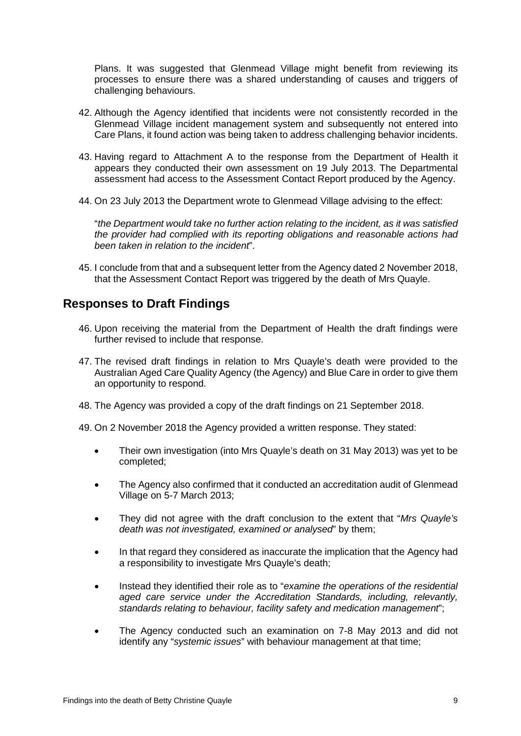Plans. It was suggested that Glenmead Village might benefit from reviewing its processes to ensure there was a shared understanding of causes and triggers of challenging behaviours.

- 42. Although the Agency identified that incidents were not consistently recorded in the Glenmead Village incident management system and subsequently not entered into Care Plans, it found action was being taken to address challenging behavior incidents.
- 43. Having regard to Attachment A to the response from the Department of Health it appears they conducted their own assessment on 19 July 2013. The Departmental assessment had access to the Assessment Contact Report produced by the Agency.
- 44. On 23 July 2013 the Department wrote to Glenmead Village advising to the effect:

"*the Department would take no further action relating to the incident, as it was satisfied the provider had complied with its reporting obligations and reasonable actions had been taken in relation to the incident*".

45. I conclude from that and a subsequent letter from the Agency dated 2 November 2018, that the Assessment Contact Report was triggered by the death of Mrs Quayle.

#### <span id="page-10-0"></span>**Responses to Draft Findings**

- 46. Upon receiving the material from the Department of Health the draft findings were further revised to include that response.
- 47. The revised draft findings in relation to Mrs Quayle's death were provided to the Australian Aged Care Quality Agency (the Agency) and Blue Care in order to give them an opportunity to respond.
- 48. The Agency was provided a copy of the draft findings on 21 September 2018.
- 49. On 2 November 2018 the Agency provided a written response. They stated:
	- Their own investigation (into Mrs Quayle's death on 31 May 2013) was yet to be completed;
	- The Agency also confirmed that it conducted an accreditation audit of Glenmead Village on 5-7 March 2013;
	- They did not agree with the draft conclusion to the extent that "*Mrs Quayle's death was not investigated, examined or analysed*" by them;
	- In that regard they considered as inaccurate the implication that the Agency had a responsibility to investigate Mrs Quayle's death;
	- Instead they identified their role as to "*examine the operations of the residential aged care service under the Accreditation Standards, including, relevantly, standards relating to behaviour, facility safety and medication management*";
	- The Agency conducted such an examination on 7-8 May 2013 and did not identify any "*systemic issues*" with behaviour management at that time;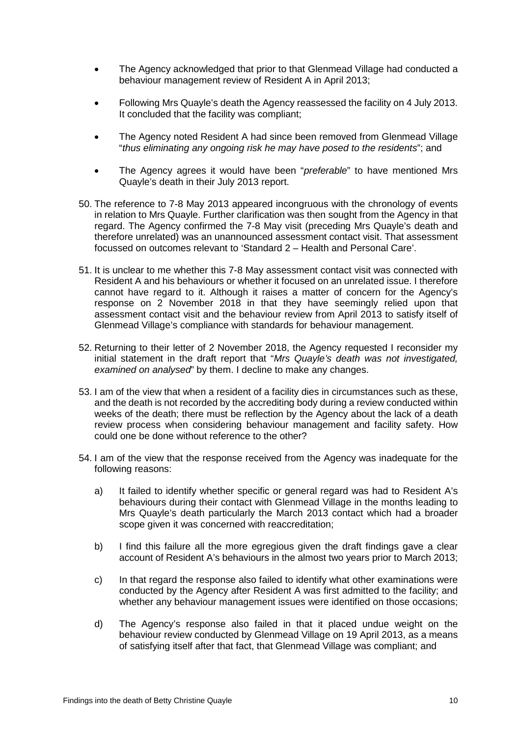- The Agency acknowledged that prior to that Glenmead Village had conducted a behaviour management review of Resident A in April 2013;
- Following Mrs Quayle's death the Agency reassessed the facility on 4 July 2013. It concluded that the facility was compliant;
- The Agency noted Resident A had since been removed from Glenmead Village "*thus eliminating any ongoing risk he may have posed to the residents*"; and
- The Agency agrees it would have been "*preferable*" to have mentioned Mrs Quayle's death in their July 2013 report.
- 50. The reference to 7-8 May 2013 appeared incongruous with the chronology of events in relation to Mrs Quayle. Further clarification was then sought from the Agency in that regard. The Agency confirmed the 7-8 May visit (preceding Mrs Quayle's death and therefore unrelated) was an unannounced assessment contact visit. That assessment focussed on outcomes relevant to 'Standard 2 – Health and Personal Care'.
- 51. It is unclear to me whether this 7-8 May assessment contact visit was connected with Resident A and his behaviours or whether it focused on an unrelated issue. I therefore cannot have regard to it. Although it raises a matter of concern for the Agency's response on 2 November 2018 in that they have seemingly relied upon that assessment contact visit and the behaviour review from April 2013 to satisfy itself of Glenmead Village's compliance with standards for behaviour management.
- 52. Returning to their letter of 2 November 2018, the Agency requested I reconsider my initial statement in the draft report that "*Mrs Quayle's death was not investigated, examined on analysed*" by them. I decline to make any changes.
- 53. I am of the view that when a resident of a facility dies in circumstances such as these, and the death is not recorded by the accrediting body during a review conducted within weeks of the death; there must be reflection by the Agency about the lack of a death review process when considering behaviour management and facility safety. How could one be done without reference to the other?
- 54. I am of the view that the response received from the Agency was inadequate for the following reasons:
	- a) It failed to identify whether specific or general regard was had to Resident A's behaviours during their contact with Glenmead Village in the months leading to Mrs Quayle's death particularly the March 2013 contact which had a broader scope given it was concerned with reaccreditation;
	- b) I find this failure all the more egregious given the draft findings gave a clear account of Resident A's behaviours in the almost two years prior to March 2013;
	- c) In that regard the response also failed to identify what other examinations were conducted by the Agency after Resident A was first admitted to the facility; and whether any behaviour management issues were identified on those occasions;
	- d) The Agency's response also failed in that it placed undue weight on the behaviour review conducted by Glenmead Village on 19 April 2013, as a means of satisfying itself after that fact, that Glenmead Village was compliant; and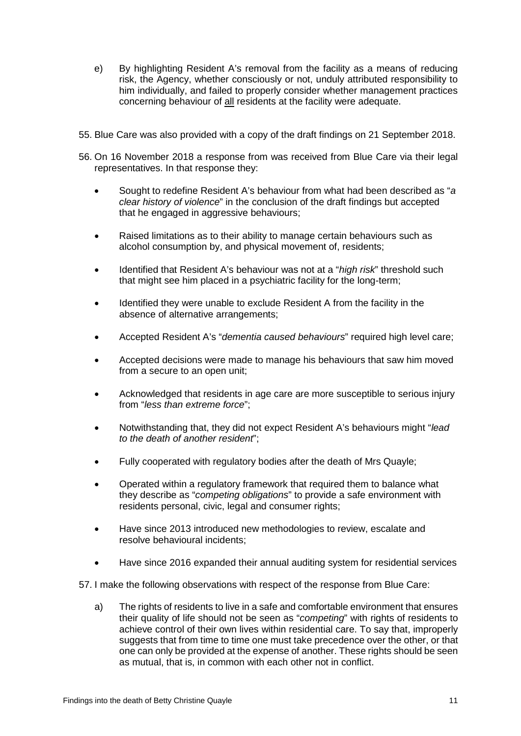- e) By highlighting Resident A's removal from the facility as a means of reducing risk, the Agency, whether consciously or not, unduly attributed responsibility to him individually, and failed to properly consider whether management practices concerning behaviour of all residents at the facility were adequate.
- 55. Blue Care was also provided with a copy of the draft findings on 21 September 2018.
- 56. On 16 November 2018 a response from was received from Blue Care via their legal representatives. In that response they:
	- Sought to redefine Resident A's behaviour from what had been described as "*a clear history of violence*" in the conclusion of the draft findings but accepted that he engaged in aggressive behaviours;
	- Raised limitations as to their ability to manage certain behaviours such as alcohol consumption by, and physical movement of, residents;
	- Identified that Resident A's behaviour was not at a "*high risk*" threshold such that might see him placed in a psychiatric facility for the long-term;
	- Identified they were unable to exclude Resident A from the facility in the absence of alternative arrangements;
	- Accepted Resident A's "*dementia caused behaviours*" required high level care;
	- Accepted decisions were made to manage his behaviours that saw him moved from a secure to an open unit;
	- Acknowledged that residents in age care are more susceptible to serious injury from "*less than extreme force*";
	- Notwithstanding that, they did not expect Resident A's behaviours might "*lead to the death of another resident*";
	- Fully cooperated with regulatory bodies after the death of Mrs Quayle;
	- Operated within a regulatory framework that required them to balance what they describe as "*competing obligations*" to provide a safe environment with residents personal, civic, legal and consumer rights;
	- Have since 2013 introduced new methodologies to review, escalate and resolve behavioural incidents;
	- Have since 2016 expanded their annual auditing system for residential services

57. I make the following observations with respect of the response from Blue Care:

a) The rights of residents to live in a safe and comfortable environment that ensures their quality of life should not be seen as "*competing*" with rights of residents to achieve control of their own lives within residential care. To say that, improperly suggests that from time to time one must take precedence over the other, or that one can only be provided at the expense of another. These rights should be seen as mutual, that is, in common with each other not in conflict.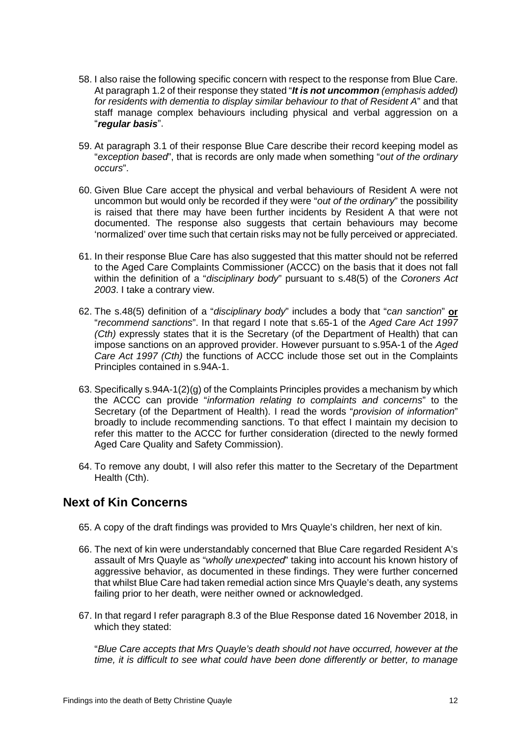- 58. I also raise the following specific concern with respect to the response from Blue Care. At paragraph 1.2 of their response they stated "*It is not uncommon (emphasis added) for residents with dementia to display similar behaviour to that of Resident A*" and that staff manage complex behaviours including physical and verbal aggression on a "*regular basis*".
- 59. At paragraph 3.1 of their response Blue Care describe their record keeping model as "*exception based*", that is records are only made when something "*out of the ordinary occurs*".
- 60. Given Blue Care accept the physical and verbal behaviours of Resident A were not uncommon but would only be recorded if they were "*out of the ordinary*" the possibility is raised that there may have been further incidents by Resident A that were not documented. The response also suggests that certain behaviours may become 'normalized' over time such that certain risks may not be fully perceived or appreciated.
- 61. In their response Blue Care has also suggested that this matter should not be referred to the Aged Care Complaints Commissioner (ACCC) on the basis that it does not fall within the definition of a "*disciplinary body*" pursuant to s.48(5) of the *Coroners Act 2003*. I take a contrary view.
- 62. The s.48(5) definition of a "*disciplinary body*" includes a body that "*can sanction*" **or** "*recommend sanctions*". In that regard I note that s.65-1 of the *Aged Care Act 1997 (Cth)* expressly states that it is the Secretary (of the Department of Health) that can impose sanctions on an approved provider. However pursuant to s.95A-1 of the *Aged Care Act 1997 (Cth)* the functions of ACCC include those set out in the Complaints Principles contained in s.94A-1.
- 63. Specifically s.94A-1(2)(g) of the Complaints Principles provides a mechanism by which the ACCC can provide "*information relating to complaints and concerns*" to the Secretary (of the Department of Health). I read the words "*provision of information*" broadly to include recommending sanctions. To that effect I maintain my decision to refer this matter to the ACCC for further consideration (directed to the newly formed Aged Care Quality and Safety Commission).
- 64. To remove any doubt, I will also refer this matter to the Secretary of the Department Health (Cth).

# <span id="page-13-0"></span>**Next of Kin Concerns**

- 65. A copy of the draft findings was provided to Mrs Quayle's children, her next of kin.
- 66. The next of kin were understandably concerned that Blue Care regarded Resident A's assault of Mrs Quayle as "*wholly unexpected*" taking into account his known history of aggressive behavior, as documented in these findings. They were further concerned that whilst Blue Care had taken remedial action since Mrs Quayle's death, any systems failing prior to her death, were neither owned or acknowledged.
- 67. In that regard I refer paragraph 8.3 of the Blue Response dated 16 November 2018, in which they stated:

"*Blue Care accepts that Mrs Quayle's death should not have occurred, however at the time, it is difficult to see what could have been done differently or better, to manage*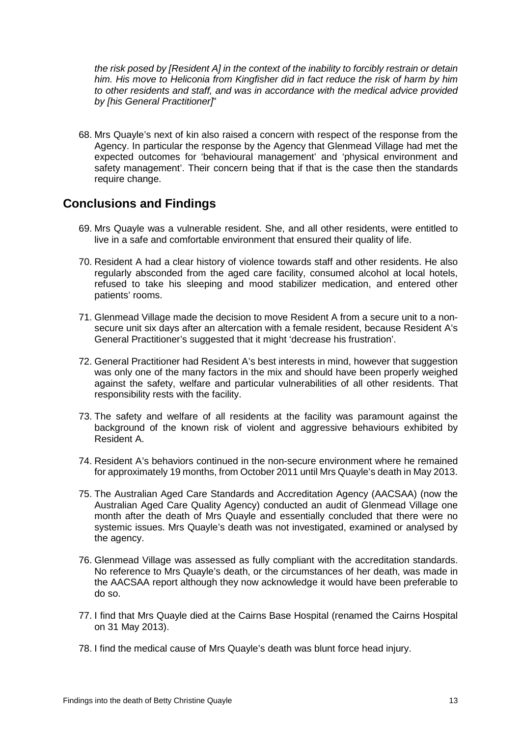*the risk posed by [Resident A] in the context of the inability to forcibly restrain or detain him. His move to Heliconia from Kingfisher did in fact reduce the risk of harm by him to other residents and staff, and was in accordance with the medical advice provided by [his General Practitioner]*"

68. Mrs Quayle's next of kin also raised a concern with respect of the response from the Agency. In particular the response by the Agency that Glenmead Village had met the expected outcomes for 'behavioural management' and 'physical environment and safety management'. Their concern being that if that is the case then the standards require change.

#### <span id="page-14-0"></span>**Conclusions and Findings**

- 69. Mrs Quayle was a vulnerable resident. She, and all other residents, were entitled to live in a safe and comfortable environment that ensured their quality of life.
- 70. Resident A had a clear history of violence towards staff and other residents. He also regularly absconded from the aged care facility, consumed alcohol at local hotels, refused to take his sleeping and mood stabilizer medication, and entered other patients' rooms.
- 71. Glenmead Village made the decision to move Resident A from a secure unit to a nonsecure unit six days after an altercation with a female resident, because Resident A's General Practitioner's suggested that it might 'decrease his frustration'.
- 72. General Practitioner had Resident A's best interests in mind, however that suggestion was only one of the many factors in the mix and should have been properly weighed against the safety, welfare and particular vulnerabilities of all other residents. That responsibility rests with the facility.
- 73. The safety and welfare of all residents at the facility was paramount against the background of the known risk of violent and aggressive behaviours exhibited by Resident A.
- 74. Resident A's behaviors continued in the non-secure environment where he remained for approximately 19 months, from October 2011 until Mrs Quayle's death in May 2013.
- 75. The Australian Aged Care Standards and Accreditation Agency (AACSAA) (now the Australian Aged Care Quality Agency) conducted an audit of Glenmead Village one month after the death of Mrs Quayle and essentially concluded that there were no systemic issues. Mrs Quayle's death was not investigated, examined or analysed by the agency.
- 76. Glenmead Village was assessed as fully compliant with the accreditation standards. No reference to Mrs Quayle's death, or the circumstances of her death, was made in the AACSAA report although they now acknowledge it would have been preferable to do so.
- 77. I find that Mrs Quayle died at the Cairns Base Hospital (renamed the Cairns Hospital on 31 May 2013).
- 78. I find the medical cause of Mrs Quayle's death was blunt force head injury.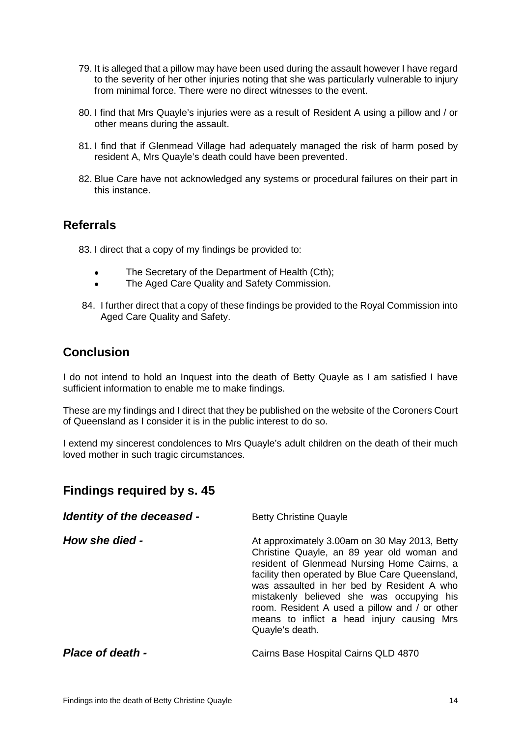- 79. It is alleged that a pillow may have been used during the assault however I have regard to the severity of her other injuries noting that she was particularly vulnerable to injury from minimal force. There were no direct witnesses to the event.
- 80. I find that Mrs Quayle's injuries were as a result of Resident A using a pillow and / or other means during the assault.
- 81. I find that if Glenmead Village had adequately managed the risk of harm posed by resident A, Mrs Quayle's death could have been prevented.
- 82. Blue Care have not acknowledged any systems or procedural failures on their part in this instance.

#### <span id="page-15-0"></span>**Referrals**

83. I direct that a copy of my findings be provided to:

- The Secretary of the Department of Health (Cth):
- The Aged Care Quality and Safety Commission.
- 84. I further direct that a copy of these findings be provided to the Royal Commission into Aged Care Quality and Safety.

#### <span id="page-15-1"></span>**Conclusion**

I do not intend to hold an Inquest into the death of Betty Quayle as I am satisfied I have sufficient information to enable me to make findings.

These are my findings and I direct that they be published on the website of the Coroners Court of Queensland as I consider it is in the public interest to do so.

I extend my sincerest condolences to Mrs Quayle's adult children on the death of their much loved mother in such tragic circumstances.

#### <span id="page-15-2"></span>**Findings required by s. 45**

#### <span id="page-15-3"></span>*Identity of the deceased -* Betty Christine Quayle

<span id="page-15-4"></span>**How she died -** At approximately 3.00am on 30 May 2013, Betty Christine Quayle, an 89 year old woman and resident of Glenmead Nursing Home Cairns, a facility then operated by Blue Care Queensland, was assaulted in her bed by Resident A who mistakenly believed she was occupying his room. Resident A used a pillow and / or other means to inflict a head injury causing Mrs Quayle's death.

<span id="page-15-5"></span>**Place of death -** Cairns Base Hospital Cairns QLD 4870